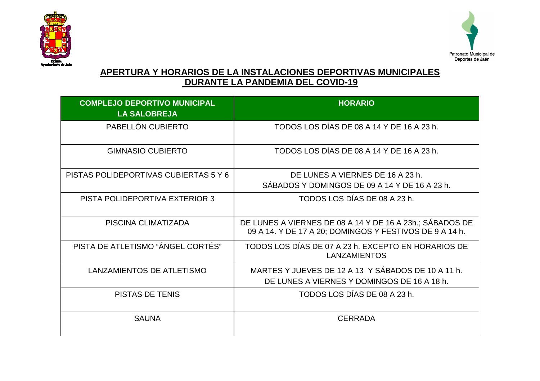



## **APERTURA Y HORARIOS DE LA INSTALACIONES DEPORTIVAS MUNICIPALES DURANTE LA PANDEMIA DEL COVID-19**

| <b>COMPLEJO DEPORTIVO MUNICIPAL</b>   | <b>HORARIO</b>                                                                                                      |
|---------------------------------------|---------------------------------------------------------------------------------------------------------------------|
| <b>LA SALOBREJA</b>                   |                                                                                                                     |
| PABELLÓN CUBIERTO                     | TODOS LOS DÍAS DE 08 A 14 Y DE 16 A 23 h.                                                                           |
| <b>GIMNASIO CUBIERTO</b>              | TODOS LOS DÍAS DE 08 A 14 Y DE 16 A 23 h.                                                                           |
| PISTAS POLIDEPORTIVAS CUBIERTAS 5 Y 6 | DE LUNES A VIERNES DE 16 A 23 h.                                                                                    |
|                                       | SÁBADOS Y DOMINGOS DE 09 A 14 Y DE 16 A 23 h.                                                                       |
| PISTA POLIDEPORTIVA EXTERIOR 3        | TODOS LOS DÍAS DE 08 A 23 h.                                                                                        |
| PISCINA CLIMATIZADA                   | DE LUNES A VIERNES DE 08 A 14 Y DE 16 A 23h.; SÁBADOS DE<br>09 A 14. Y DE 17 A 20; DOMINGOS Y FESTIVOS DE 9 A 14 h. |
| PISTA DE ATLETISMO "ÁNGEL CORTÉS"     | TODOS LOS DÍAS DE 07 A 23 h. EXCEPTO EN HORARIOS DE<br><b>LANZAMIENTOS</b>                                          |
| LANZAMIENTOS DE ATLETISMO             | MARTES Y JUEVES DE 12 A 13 Y SÁBADOS DE 10 A 11 h.<br>DE LUNES A VIERNES Y DOMINGOS DE 16 A 18 h.                   |
| <b>PISTAS DE TENIS</b>                | TODOS LOS DÍAS DE 08 A 23 h.                                                                                        |
| <b>SAUNA</b>                          | <b>CERRADA</b>                                                                                                      |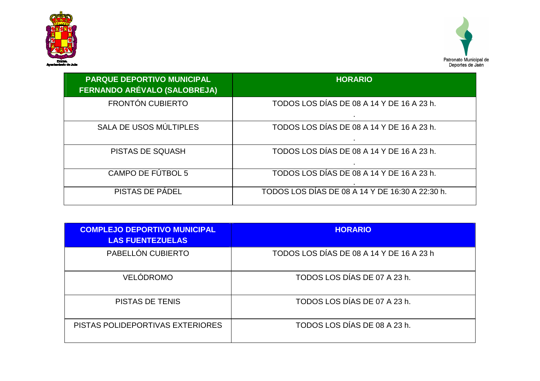



| <b>PARQUE DEPORTIVO MUNICIPAL</b><br>FERNANDO ARÉVALO (SALOBREJA) | <b>HORARIO</b>                                  |
|-------------------------------------------------------------------|-------------------------------------------------|
| <b>FRONTÓN CUBIERTO</b>                                           | TODOS LOS DÍAS DE 08 A 14 Y DE 16 A 23 h.       |
| SALA DE USOS MÚLTIPLES                                            | TODOS LOS DÍAS DE 08 A 14 Y DE 16 A 23 h.       |
| <b>PISTAS DE SQUASH</b>                                           | TODOS LOS DÍAS DE 08 A 14 Y DE 16 A 23 h.       |
| CAMPO DE FÚTBOL 5                                                 | TODOS LOS DÍAS DE 08 A 14 Y DE 16 A 23 h.       |
| PISTAS DE PÁDEL                                                   | TODOS LOS DÍAS DE 08 A 14 Y DE 16:30 A 22:30 h. |

| <b>COMPLEJO DEPORTIVO MUNICIPAL</b> | <b>HORARIO</b>                           |
|-------------------------------------|------------------------------------------|
| <b>LAS FUENTEZUELAS</b>             |                                          |
| PABELLÓN CUBIERTO                   | TODOS LOS DÍAS DE 08 A 14 Y DE 16 A 23 h |
| VELÓDROMO                           | TODOS LOS DÍAS DE 07 A 23 h.             |
| <b>PISTAS DE TENIS</b>              | TODOS LOS DÍAS DE 07 A 23 h.             |
| PISTAS POLIDEPORTIVAS EXTERIORES    | TODOS LOS DÍAS DE 08 A 23 h.             |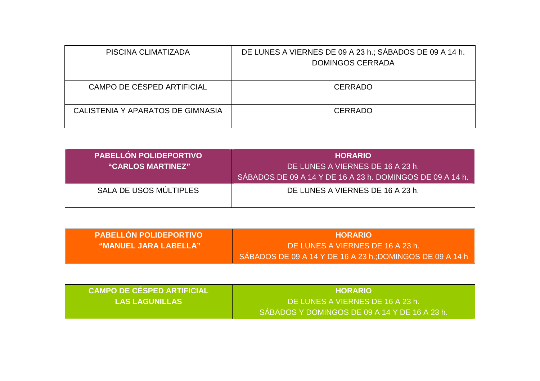| PISCINA CLIMATIZADA               | DE LUNES A VIERNES DE 09 A 23 h.; SÁBADOS DE 09 A 14 h.<br><b>DOMINGOS CERRADA</b> |
|-----------------------------------|------------------------------------------------------------------------------------|
| CAMPO DE CÉSPED ARTIFICIAL        | <b>CERRADO</b>                                                                     |
| CALISTENIA Y APARATOS DE GIMNASIA | <b>CERRADO</b>                                                                     |

| <b>PABELLON POLIDEPORTIVO</b><br>"CARLOS MARTINEZ" | <b>HORARIO</b><br>DE LUNES A VIERNES DE 16 A 23 h.<br>SÁBADOS DE 09 A 14 Y DE 16 A 23 h. DOMINGOS DE 09 A 14 h. |
|----------------------------------------------------|-----------------------------------------------------------------------------------------------------------------|
| SALA DE USOS MÚLTIPLES                             | DE LUNES A VIERNES DE 16 A 23 h.                                                                                |

| <b>PABELLON POLIDEPORTIVO</b> | <b>HORARIO</b>                                                         |
|-------------------------------|------------------------------------------------------------------------|
| <b>WANUEL JARA LABELLA"</b> . | DE LUNES A VIERNES DE 16 A 23 h.                                       |
|                               | SÁBADOS DE 09 A 14 Y DE 16 A 23 h.; DOMINGOS DE 09 A 14 h <sup>1</sup> |

| <b>CAMPO DE CÉSPED ARTIFICIAL</b> | <b>HORARIO</b>                                |
|-----------------------------------|-----------------------------------------------|
| <b>LAS LAGUNILLAS</b>             | DE LUNES A VIERNES DE 16 A 23 h.              |
|                                   | SÁBADOS Y DOMINGOS DE 09 A 14 Y DE 16 A 23 h. |